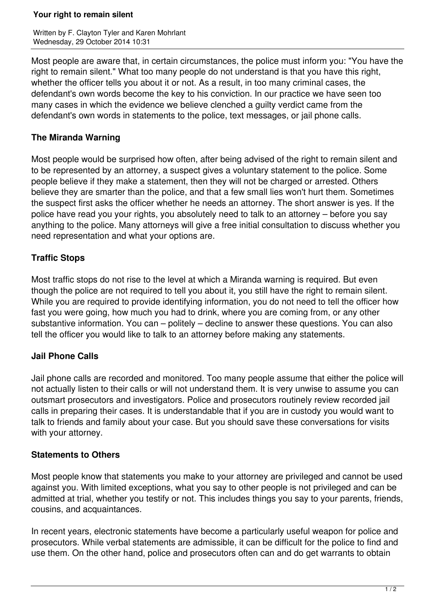#### **Your right to remain silent**

Written by F. Clayton Tyler and Karen Mohrlant Wednesday, 29 October 2014 10:31

Most people are aware that, in certain circumstances, the police must inform you: "You have the right to remain silent." What too many people do not understand is that you have this right, whether the officer tells you about it or not. As a result, in too many criminal cases, the defendant's own words become the key to his conviction. In our practice we have seen too many cases in which the evidence we believe clenched a guilty verdict came from the defendant's own words in statements to the police, text messages, or jail phone calls.

## **The Miranda Warning**

Most people would be surprised how often, after being advised of the right to remain silent and to be represented by an attorney, a suspect gives a voluntary statement to the police. Some people believe if they make a statement, then they will not be charged or arrested. Others believe they are smarter than the police, and that a few small lies won't hurt them. Sometimes the suspect first asks the officer whether he needs an attorney. The short answer is yes. If the police have read you your rights, you absolutely need to talk to an attorney – before you say anything to the police. Many attorneys will give a free initial consultation to discuss whether you need representation and what your options are.

# **Traffic Stops**

Most traffic stops do not rise to the level at which a Miranda warning is required. But even though the police are not required to tell you about it, you still have the right to remain silent. While you are required to provide identifying information, you do not need to tell the officer how fast you were going, how much you had to drink, where you are coming from, or any other substantive information. You can – politely – decline to answer these questions. You can also tell the officer you would like to talk to an attorney before making any statements.

## **Jail Phone Calls**

Jail phone calls are recorded and monitored. Too many people assume that either the police will not actually listen to their calls or will not understand them. It is very unwise to assume you can outsmart prosecutors and investigators. Police and prosecutors routinely review recorded jail calls in preparing their cases. It is understandable that if you are in custody you would want to talk to friends and family about your case. But you should save these conversations for visits with your attorney.

## **Statements to Others**

Most people know that statements you make to your attorney are privileged and cannot be used against you. With limited exceptions, what you say to other people is not privileged and can be admitted at trial, whether you testify or not. This includes things you say to your parents, friends, cousins, and acquaintances.

In recent years, electronic statements have become a particularly useful weapon for police and prosecutors. While verbal statements are admissible, it can be difficult for the police to find and use them. On the other hand, police and prosecutors often can and do get warrants to obtain